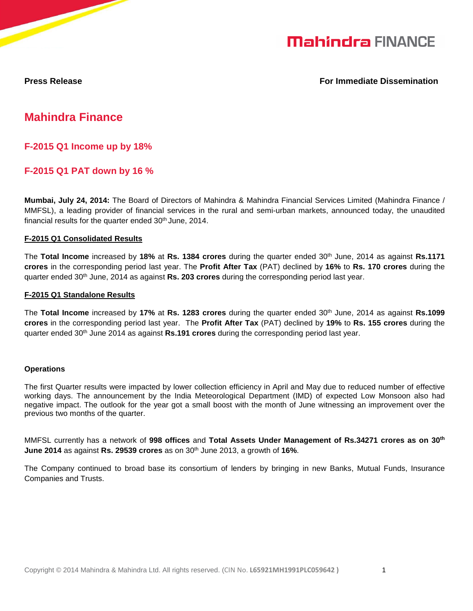

**Press Release For Immediate Dissemination According to the Exercise Press Release** 

## **Mahindra Finance**

**F-2015 Q1 Income up by 18%** 

## **F-2015 Q1 PAT down by 16 %**

**Mumbai, July 24, 2014:** The Board of Directors of Mahindra & Mahindra Financial Services Limited (Mahindra Finance / MMFSL), a leading provider of financial services in the rural and semi-urban markets, announced today, the unaudited financial results for the quarter ended 30<sup>th</sup> June, 2014.

#### **F-2015 Q1 Consolidated Results**

The **Total Income** increased by **18%** at **Rs. 1384 crores** during the quarter ended 30th June, 2014 as against **Rs.1171 crores** in the corresponding period last year. The **Profit After Tax** (PAT) declined by **16%** to **Rs. 170 crores** during the quarter ended 30th June, 2014 as against **Rs. 203 crores** during the corresponding period last year.

#### **F-2015 Q1 Standalone Results**

The **Total Income** increased by **17%** at **Rs. 1283 crores** during the quarter ended 30th June, 2014 as against **Rs.1099 crores** in the corresponding period last year. The **Profit After Tax** (PAT) declined by **19%** to **Rs. 155 crores** during the quarter ended 30th June 2014 as against **Rs.191 crores** during the corresponding period last year.

#### **Operations**

The first Quarter results were impacted by lower collection efficiency in April and May due to reduced number of effective working days. The announcement by the India Meteorological Department (IMD) of expected Low Monsoon also had negative impact. The outlook for the year got a small boost with the month of June witnessing an improvement over the previous two months of the quarter.

MMFSL currently has a network of **998 offices** and **Total Assets Under Management of Rs.34271 crores as on 30th June 2014** as against **Rs. 29539 crores** as on 30th June 2013, a growth of **16%**.

The Company continued to broad base its consortium of lenders by bringing in new Banks, Mutual Funds, Insurance Companies and Trusts.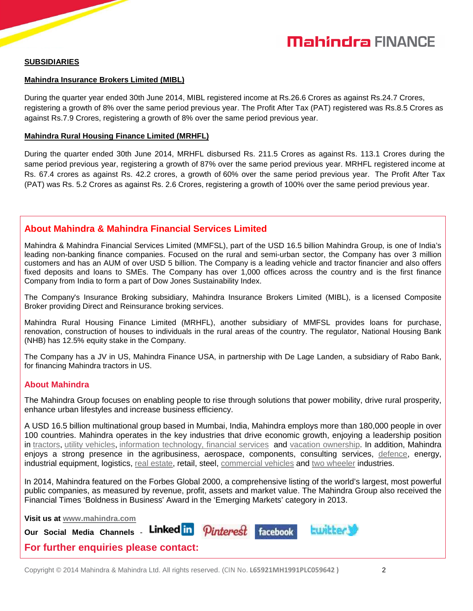## **Mahindra FINANCE**

#### **SUBSIDIARIES**

#### **Mahindra Insurance Brokers Limited (MIBL)**

During the quarter year ended 30th June 2014, MIBL registered income at Rs.26.6 Crores as against Rs.24.7 Crores, registering a growth of 8% over the same period previous year. The Profit After Tax (PAT) registered was Rs.8.5 Crores as against Rs.7.9 Crores, registering a growth of 8% over the same period previous year.

#### **Mahindra Rural Housing Finance Limited (MRHFL)**

During the quarter ended 30th June 2014, MRHFL disbursed Rs. 211.5 Crores as against Rs. 113.1 Crores during the same period previous year, registering a growth of 87% over the same period previous year. MRHFL registered income at Rs. 67.4 crores as against Rs. 42.2 crores, a growth of 60% over the same period previous year. The Profit After Tax (PAT) was Rs. 5.2 Crores as against Rs. 2.6 Crores, registering a growth of 100% over the same period previous year.

### **About Mahindra & Mahindra Financial Services Limited**

Mahindra & Mahindra Financial Services Limited (MMFSL), part of the USD 16.5 billion Mahindra Group, is one of India's leading non-banking finance companies. Focused on the rural and semi-urban sector, the Company has over 3 million customers and has an AUM of over USD 5 billion. The Company is a leading vehicle and tractor financier and also offers fixed deposits and loans to SMEs. The Company has over 1,000 offices across the country and is the first finance Company from India to form a part of Dow Jones Sustainability Index.

The Company's Insurance Broking subsidiary, Mahindra Insurance Brokers Limited (MIBL), is a licensed Composite Broker providing Direct and Reinsurance broking services.

Mahindra Rural Housing Finance Limited (MRHFL), another subsidiary of MMFSL provides loans for purchase, renovation, construction of houses to individuals in the rural areas of the country. The regulator, National Housing Bank (NHB) has 12.5% equity stake in the Company.

The Company has a JV in US, Mahindra Finance USA, in partnership with De Lage Landen, a subsidiary of Rabo Bank, for financing Mahindra tractors in US.

#### **About Mahindra**

The Mahindra Group focuses on enabling people to rise through solutions that power mobility, drive rural prosperity, enhance urban lifestyles and increase business efficiency.

A USD 16.5 billion multinational group based in Mumbai, India, Mahindra employs more than 180,000 people in over 100 countries. Mahindra operates in the key industries that drive economic growth, enjoying a leadership position in tractors, utility vehicles, information technology, financial services and vacation ownership. In addition, Mahindra enjoys a strong presence in the agribusiness, aerospace, components, consulting services, defence, energy, industrial equipment, logistics, real estate, retail, steel, commercial vehicles and two wheeler industries.

In 2014, Mahindra featured on the Forbes Global 2000, a comprehensive listing of the world's largest, most powerful public companies, as measured by revenue, profit, assets and market value. The Mahindra Group also received the Financial Times 'Boldness in Business' Award in the 'Emerging Markets' category in 2013.

**Visit us at www.mahindra.com**